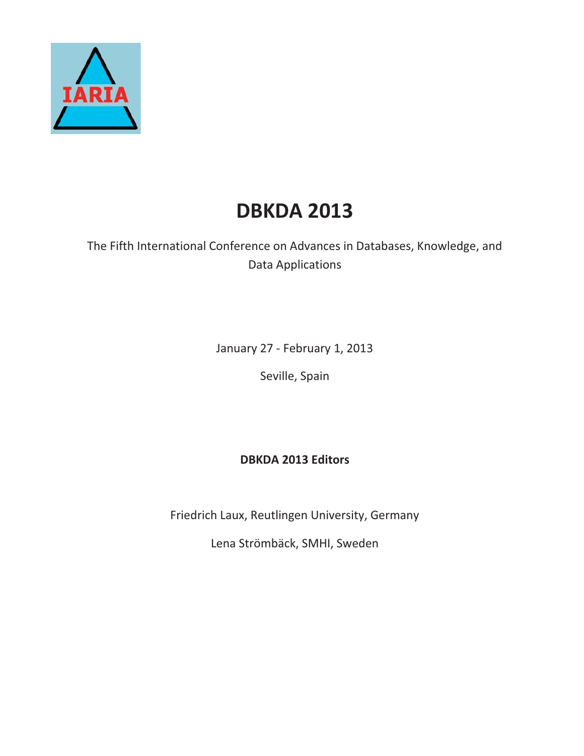

# **DBKDA 2013**

The Fifth International Conference on Advances in Databases, Knowledge, and Data Applications

January 27 - February 1, 2013

Seville, Spain

**DBKDA 2013 Editors**

Friedrich Laux, Reutlingen University, Germany

Lena Strömbäck, SMHI, Sweden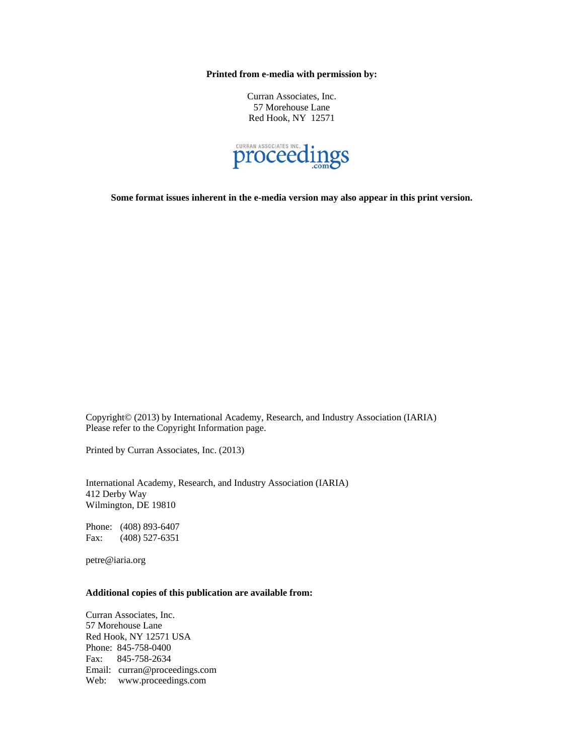**Printed from e-media with permission by:** 

Curran Associates, Inc. 57 Morehouse Lane Red Hook, NY 12571



**Some format issues inherent in the e-media version may also appear in this print version.** 

Copyright© (2013) by International Academy, Research, and Industry Association (IARIA) Please refer to the Copyright Information page.

Printed by Curran Associates, Inc. (2013)

International Academy, Research, and Industry Association (IARIA) 412 Derby Way Wilmington, DE 19810

Phone: (408) 893-6407 Fax: (408) 527-6351

petre@iaria.org

#### **Additional copies of this publication are available from:**

Curran Associates, Inc. 57 Morehouse Lane Red Hook, NY 12571 USA Phone: 845-758-0400 Fax: 845-758-2634 Email: curran@proceedings.com Web: www.proceedings.com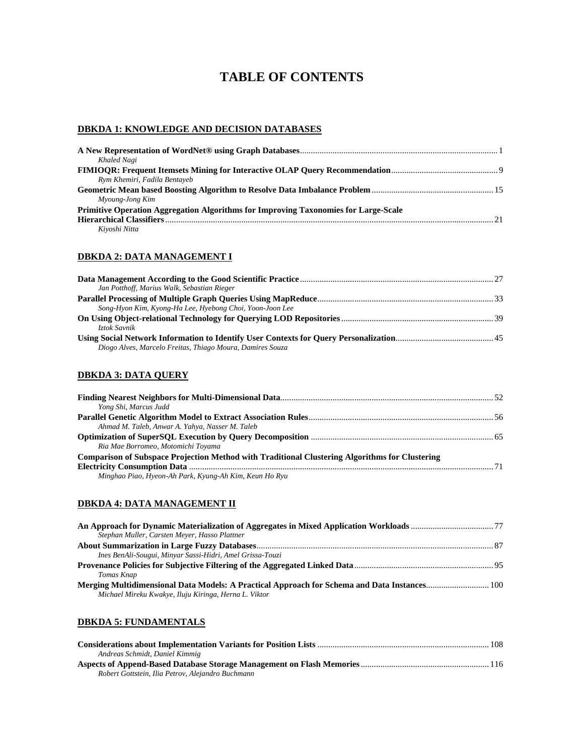# **TABLE OF CONTENTS**

## **DBKDA 1: KNOWLEDGE AND DECISION DATABASES**

| Khaled Nagi                                                                         |  |
|-------------------------------------------------------------------------------------|--|
|                                                                                     |  |
| Rym Khemiri, Fadila Bentayeb                                                        |  |
|                                                                                     |  |
| Myoung-Jong Kim                                                                     |  |
| Primitive Operation Aggregation Algorithms for Improving Taxonomies for Large-Scale |  |
|                                                                                     |  |
| Kivoshi Nitta                                                                       |  |

#### **DBKDA 2: DATA MANAGEMENT I**

| Jan Potthoff, Marius Walk, Sebastian Rieger               |  |
|-----------------------------------------------------------|--|
|                                                           |  |
| Song-Hyon Kim, Kyong-Ha Lee, Hyebong Choi, Yoon-Joon Lee  |  |
|                                                           |  |
| Iztok Savnik                                              |  |
|                                                           |  |
| Diogo Alves, Marcelo Freitas, Thiago Moura, Damires Souza |  |

### **DBKDA 3: DATA QUERY**

| Yong Shi, Marcus Judd                                                                                 |  |
|-------------------------------------------------------------------------------------------------------|--|
|                                                                                                       |  |
| Ahmad M. Taleb, Anwar A. Yahya, Nasser M. Taleb                                                       |  |
|                                                                                                       |  |
| Ria Mae Borromeo, Motomichi Toyama                                                                    |  |
| <b>Comparison of Subspace Projection Method with Traditional Clustering Algorithms for Clustering</b> |  |
|                                                                                                       |  |
| Minghao Piao, Hyeon-Ah Park, Kyung-Ah Kim, Keun Ho Ryu                                                |  |

#### **DBKDA 4: DATA MANAGEMENT II**

| Stephan Muller, Carsten Meyer, Hasso Plattner             |  |
|-----------------------------------------------------------|--|
|                                                           |  |
| Ines BenAli-Sougui, Minyar Sassi-Hidri, Amel Grissa-Touzi |  |
|                                                           |  |
| Tomas Knap                                                |  |
| Michael Mireku Kwakye, Iluju Kiringa, Herna L. Viktor     |  |

#### **DBKDA 5: FUNDAMENTALS**

| Andreas Schmidt, Daniel Kimmig                    |  |
|---------------------------------------------------|--|
|                                                   |  |
| Robert Gottstein, Ilia Petrov, Alejandro Buchmann |  |